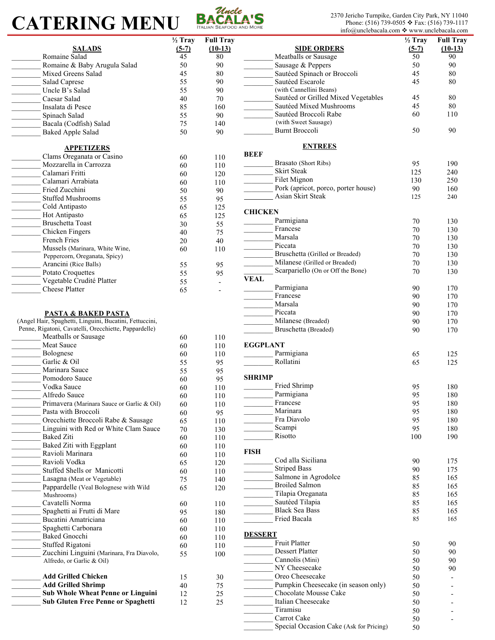# **CATERING MENU BACALA'S**



Phone: (516) 739-0505 ❖ Fax: (516) 739-1117 info@unclebacala.com ❖ www.unclebacala.com

|                                                         |                    |                          |                 | $\text{in}$ o( $\omega$ unciebacaia.com $\rightarrow$ www.unciebacaia.com |                    |                  |
|---------------------------------------------------------|--------------------|--------------------------|-----------------|---------------------------------------------------------------------------|--------------------|------------------|
|                                                         | $\frac{1}{2}$ Tray | <b>Full Tray</b>         |                 |                                                                           | $\frac{1}{2}$ Tray | <b>Full Tray</b> |
|                                                         |                    |                          |                 |                                                                           |                    |                  |
| <b>SALADS</b>                                           | $(5-7)$            | $(10-13)$                |                 | <b>SIDE ORDERS</b>                                                        | $(5-7)$            | $(10-13)$        |
| Romaine Salad                                           | 45                 | 80                       |                 | Meatballs or Sausage                                                      | 50                 | 90               |
| Romaine & Baby Arugula Salad                            | 50                 | 90                       |                 | Sausage & Peppers                                                         | 50                 | 90               |
|                                                         |                    |                          |                 |                                                                           |                    |                  |
| Mixed Greens Salad                                      | 45                 | 80                       |                 | Sautéed Spinach or Broccoli                                               | 45                 | 80               |
| Salad Caprese                                           | 55                 | 90                       |                 | Sautéed Escarole                                                          | 45                 | 80               |
| Uncle B's Salad                                         | 55                 | 90                       |                 | (with Cannellini Beans)                                                   |                    |                  |
|                                                         |                    |                          |                 | Sautéed or Grilled Mixed Vegetables                                       | 45                 | 80               |
| Caesar Salad                                            | 40                 | 70                       |                 |                                                                           |                    |                  |
| Insalata di Pesce                                       | 85                 | 160                      |                 | Sautéed Mixed Mushrooms                                                   | 45                 | 80               |
| Spinach Salad                                           | 55                 | 90                       |                 | Sautéed Broccoli Rabe                                                     | 60                 | 110              |
|                                                         |                    |                          |                 | (with Sweet Sausage)                                                      |                    |                  |
| Bacala (Codfish) Salad                                  | 75                 | 140                      |                 |                                                                           |                    |                  |
| <b>Baked Apple Salad</b>                                | 50                 | 90                       |                 | <b>Burnt Broccoli</b>                                                     | 50                 | 90               |
|                                                         |                    |                          |                 |                                                                           |                    |                  |
|                                                         |                    |                          |                 | <b>ENTREES</b>                                                            |                    |                  |
| <b>APPETIZERS</b>                                       |                    |                          |                 |                                                                           |                    |                  |
| Clams Oreganata or Casino                               | 60                 | 110                      | <b>BEEF</b>     |                                                                           |                    |                  |
| Mozzarella in Carrozza                                  | 60                 | 110                      |                 | Brasato (Short Ribs)                                                      | 95                 | 190              |
| Calamari Fritti                                         |                    |                          |                 | <b>Skirt Steak</b>                                                        | 125                | 240              |
|                                                         | 60                 | 120                      |                 |                                                                           |                    |                  |
| Calamari Arrabiata                                      | 60                 | 110                      |                 | Filet Mignon                                                              | 130                | 250              |
| Fried Zucchini                                          | 50                 | 90                       |                 | Pork (apricot, porco, porter house)                                       | 90                 | 160              |
|                                                         |                    |                          |                 | Asian Skirt Steak                                                         | 125                | 240              |
| <b>Stuffed Mushrooms</b>                                | 55                 | 95                       |                 |                                                                           |                    |                  |
| Cold Antipasto                                          | 65                 | 125                      |                 |                                                                           |                    |                  |
| Hot Antipasto<br>$\mathbb{R}$                           | 65                 | 125                      | <b>CHICKEN</b>  |                                                                           |                    |                  |
|                                                         |                    |                          |                 | Parmigiana                                                                | 70                 | 130              |
| Bruschetta Toast                                        | 30                 | 55                       |                 | Francese                                                                  |                    |                  |
| Chicken Fingers                                         | 40                 | 75                       |                 |                                                                           | 70                 | 130              |
| French Fries                                            | 20                 | 40                       |                 | Marsala                                                                   | 70                 | 130              |
|                                                         |                    |                          |                 | Piccata                                                                   | 70                 | 130              |
| Mussels (Marinara, White Wine,                          | 60                 | 110                      |                 |                                                                           |                    |                  |
| Peppercorn, Oreganata, Spicy)                           |                    |                          |                 | Bruschetta (Grilled or Breaded)                                           | 70                 | 130              |
| Arancini (Rice Balls)                                   | 55                 | 95                       |                 | Milanese (Grilled or Breaded)                                             | 70                 | 130              |
|                                                         |                    |                          |                 | Scarpariello (On or Off the Bone)                                         | 70                 | 130              |
| Potato Croquettes                                       | 55                 | 95                       |                 |                                                                           |                    |                  |
| Vegetable Crudité Platter                               | 55                 | $\blacksquare$           | <b>VEAL</b>     |                                                                           |                    |                  |
| <b>Cheese Platter</b>                                   | 65                 | $\overline{\phantom{a}}$ |                 | Parmigiana                                                                | 90                 | 170              |
|                                                         |                    |                          |                 | Francese                                                                  | 90                 | 170              |
|                                                         |                    |                          |                 |                                                                           |                    |                  |
|                                                         |                    |                          |                 | Marsala                                                                   | 90                 | 170              |
| <b>PASTA &amp; BAKED PASTA</b>                          |                    |                          |                 | Piccata                                                                   | 90                 | 170              |
| (Angel Hair, Spaghetti, Linguini, Bucatini, Fettuccini, |                    |                          |                 | Milanese (Breaded)                                                        |                    |                  |
|                                                         |                    |                          |                 |                                                                           | 90                 | 170              |
| Penne, Rigatoni, Cavatelli, Orecchiette, Pappardelle)   |                    |                          |                 | Bruschetta (Breaded)                                                      | 90                 | 170              |
| Meatballs or Sausage                                    | 60                 | 110                      |                 |                                                                           |                    |                  |
| Meat Sauce                                              | 60                 | 110                      | <b>EGGPLANT</b> |                                                                           |                    |                  |
|                                                         |                    |                          |                 |                                                                           |                    |                  |
| Bolognese                                               | 60                 | 110                      |                 | Parmigiana                                                                | 65                 | 125              |
| Garlic & Oil                                            | 55                 | 95                       |                 | Rollatini                                                                 | 65                 | 125              |
| Marinara Sauce                                          | 55                 | 95                       |                 |                                                                           |                    |                  |
|                                                         |                    |                          |                 |                                                                           |                    |                  |
| Pomodoro Sauce                                          | 60                 | 95                       | <b>SHRIMP</b>   |                                                                           |                    |                  |
| Vodka Sauce                                             | 60                 | 110                      |                 | Fried Shrimp                                                              | 95                 | 180              |
| Alfredo Sauce                                           |                    |                          |                 | Parmigiana                                                                | 95                 | 180              |
|                                                         | 60                 | 110                      |                 |                                                                           |                    |                  |
| Primavera (Marinara Sauce or Garlic & Oil)              | 60                 | 110                      |                 | Francese                                                                  | 95                 | 180              |
| Pasta with Broccoli                                     | 60                 | 95                       |                 | Marinara                                                                  | 95                 | 180              |
|                                                         |                    |                          |                 | Fra Diavolo                                                               | 95                 | 180              |
| Orecchiette Broccoli Rabe & Sausage                     | 65                 | 110                      |                 |                                                                           |                    |                  |
| Linguini with Red or White Clam Sauce                   | 70                 | 130                      |                 | Scampi                                                                    | 95                 | 180              |
| <b>Baked Ziti</b>                                       | 60                 | 110                      |                 | Risotto                                                                   | 100                | 190              |
| Baked Ziti with Eggplant                                |                    |                          |                 |                                                                           |                    |                  |
|                                                         | 60                 | 110                      | <b>FISH</b>     |                                                                           |                    |                  |
| Ravioli Marinara                                        | 60                 | 110                      |                 |                                                                           |                    |                  |
| Ravioli Vodka                                           | 65                 | 120                      |                 | Cod alla Siciliana                                                        | 90                 | 175              |
| Stuffed Shells or Manicotti                             |                    |                          |                 | <b>Striped Bass</b>                                                       | 90                 | 175              |
|                                                         | 60                 | 110                      |                 |                                                                           |                    |                  |
| Lasagna (Meat or Vegetable)                             | 75                 | 140                      |                 | Salmone in Agrodolce                                                      | 85                 | 165              |
| Pappardelle (Veal Bolognese with Wild                   | 65                 | 120                      |                 | <b>Broiled Salmon</b>                                                     | 85                 | 165              |
| Mushrooms)                                              |                    |                          |                 | Tilapia Oreganata                                                         | 85                 | 165              |
|                                                         |                    |                          |                 |                                                                           |                    |                  |
| Cavatelli Norma                                         | 60                 | 110                      |                 | Sautéed Tilapia                                                           | 85                 | 165              |
| Spaghetti ai Frutti di Mare                             | 95                 | 180                      |                 | <b>Black Sea Bass</b>                                                     | 85                 | 165              |
| Bucatini Amatriciana                                    |                    |                          |                 | Fried Bacala                                                              | 85                 | 165              |
|                                                         | 60                 | 110                      |                 |                                                                           |                    |                  |
| Spaghetti Carbonara                                     | 60                 | 110                      |                 |                                                                           |                    |                  |
| <b>Baked Gnocchi</b>                                    | 60                 | 110                      | <b>DESSERT</b>  |                                                                           |                    |                  |
|                                                         |                    |                          |                 | <b>Fruit Platter</b>                                                      | 50                 | 90               |
| Stuffed Rigatoni                                        | 60                 | 110                      |                 | <b>Dessert Platter</b>                                                    |                    |                  |
| Zucchini Linguini (Marinara, Fra Diavolo,               | 55                 | 100                      |                 |                                                                           | 50                 | 90               |
| Alfredo, or Garlic & Oil)                               |                    |                          |                 | Cannolis (Mini)                                                           | 50                 | 90               |
|                                                         |                    |                          |                 | NY Cheesecake                                                             | 50                 | 90               |
|                                                         |                    |                          |                 |                                                                           |                    |                  |
| <b>Add Grilled Chicken</b>                              | 15                 | 30                       |                 | Oreo Cheesecake                                                           | 50                 |                  |
| <b>Add Grilled Shrimp</b>                               | 40                 | 75                       |                 | Pumpkin Cheesecake (in season only)                                       | 50                 |                  |
| <b>Sub Whole Wheat Penne or Linguini</b>                | 12                 |                          |                 | Chocolate Mousse Cake                                                     | 50                 |                  |
|                                                         |                    | 25                       |                 |                                                                           |                    |                  |
| Sub Gluten Free Penne or Spaghetti                      | 12                 | 25                       |                 | Italian Cheesecake                                                        | 50                 |                  |
|                                                         |                    |                          |                 | Tiramisu                                                                  | 50                 |                  |
|                                                         |                    |                          |                 | Carrot Cake                                                               |                    |                  |
|                                                         |                    |                          |                 |                                                                           | 50                 |                  |
|                                                         |                    |                          |                 | Special Occasion Cake (Ask for Pricing)                                   | 50                 |                  |